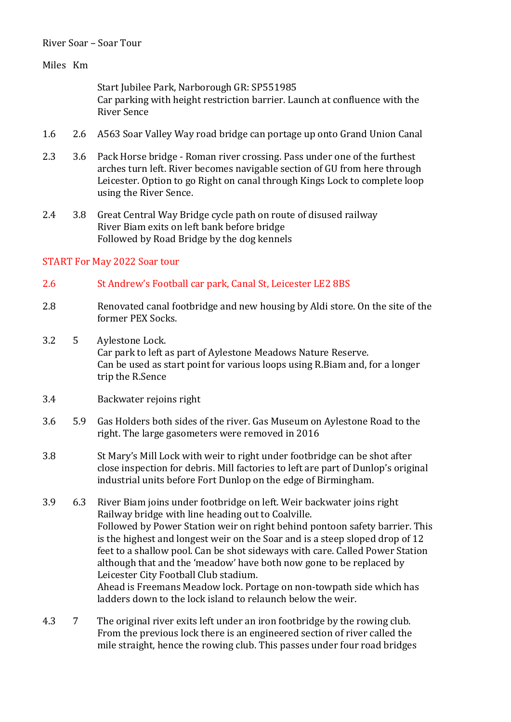#### River Soar – Soar Tour

### Miles Km

 Start Jubilee Park, Narborough GR: SP551985 Car parking with height restriction barrier. Launch at confluence with the River Sence

- 1.6 2.6 A563 Soar Valley Way road bridge can portage up onto Grand Union Canal
- 2.3 3.6 Pack Horse bridge Roman river crossing. Pass under one of the furthest arches turn left. River becomes navigable section of GU from here through Leicester. Option to go Right on canal through Kings Lock to complete loop using the River Sence.
- 2.4 3.8 Great Central Way Bridge cycle path on route of disused railway River Biam exits on left bank before bridge Followed by Road Bridge by the dog kennels

# START For May 2022 Soar tour

- 2.6 St Andrew's Football car park, Canal St, Leicester LE2 8BS
- 2.8 Renovated canal footbridge and new housing by Aldi store. On the site of the former PEX Socks.
- 3.2 5 Aylestone Lock. Car park to left as part of Aylestone Meadows Nature Reserve. Can be used as start point for various loops using R.Biam and, for a longer trip the R.Sence
- 3.4 Backwater rejoins right
- 3.6 5.9 Gas Holders both sides of the river. Gas Museum on Aylestone Road to the right. The large gasometers were removed in 2016
- 3.8 St Mary's Mill Lock with weir to right under footbridge can be shot after close inspection for debris. Mill factories to left are part of Dunlop's original industrial units before Fort Dunlop on the edge of Birmingham.
- 3.9 6.3 River Biam joins under footbridge on left. Weir backwater joins right Railway bridge with line heading out to Coalville. Followed by Power Station weir on right behind pontoon safety barrier. This is the highest and longest weir on the Soar and is a steep sloped drop of 12 feet to a shallow pool. Can be shot sideways with care. Called Power Station although that and the 'meadow' have both now gone to be replaced by Leicester City Football Club stadium. Ahead is Freemans Meadow lock. Portage on non-towpath side which has ladders down to the lock island to relaunch below the weir.
- 4.3 7 The original river exits left under an iron footbridge by the rowing club. From the previous lock there is an engineered section of river called the mile straight, hence the rowing club. This passes under four road bridges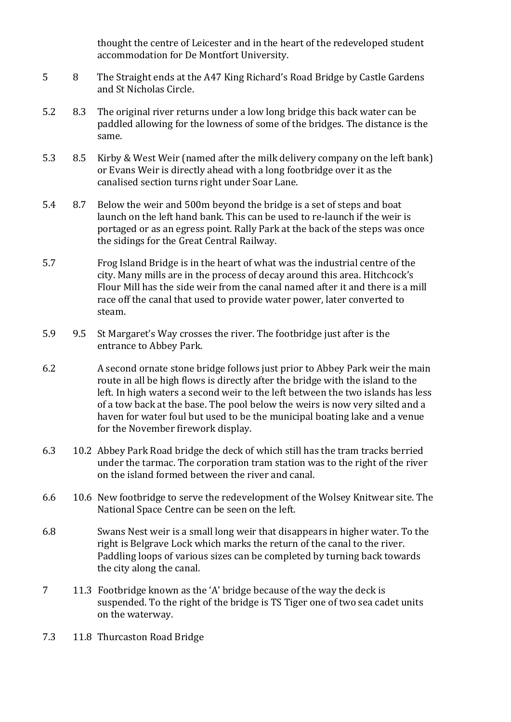thought the centre of Leicester and in the heart of the redeveloped student accommodation for De Montfort University.

- 5 8 The Straight ends at the A47 King Richard's Road Bridge by Castle Gardens and St Nicholas Circle.
- 5.2 8.3 The original river returns under a low long bridge this back water can be paddled allowing for the lowness of some of the bridges. The distance is the same.
- 5.3 8.5 Kirby & West Weir (named after the milk delivery company on the left bank) or Evans Weir is directly ahead with a long footbridge over it as the canalised section turns right under Soar Lane.
- 5.4 8.7 Below the weir and 500m beyond the bridge is a set of steps and boat launch on the left hand bank. This can be used to re-launch if the weir is portaged or as an egress point. Rally Park at the back of the steps was once the sidings for the Great Central Railway.
- 5.7 Frog Island Bridge is in the heart of what was the industrial centre of the city. Many mills are in the process of decay around this area. Hitchcock's Flour Mill has the side weir from the canal named after it and there is a mill race off the canal that used to provide water power, later converted to steam.
- 5.9 9.5 St Margaret's Way crosses the river. The footbridge just after is the entrance to Abbey Park.
- 6.2 A second ornate stone bridge follows just prior to Abbey Park weir the main route in all be high flows is directly after the bridge with the island to the left. In high waters a second weir to the left between the two islands has less of a tow back at the base. The pool below the weirs is now very silted and a haven for water foul but used to be the municipal boating lake and a venue for the November firework display.
- 6.3 10.2 Abbey Park Road bridge the deck of which still has the tram tracks berried under the tarmac. The corporation tram station was to the right of the river on the island formed between the river and canal.
- 6.6 10.6 New footbridge to serve the redevelopment of the Wolsey Knitwear site. The National Space Centre can be seen on the left.
- 6.8 Swans Nest weir is a small long weir that disappears in higher water. To the right is Belgrave Lock which marks the return of the canal to the river. Paddling loops of various sizes can be completed by turning back towards the city along the canal.
- 7 11.3 Footbridge known as the 'A' bridge because of the way the deck is suspended. To the right of the bridge is TS Tiger one of two sea cadet units on the waterway.
- 7.3 11.8 Thurcaston Road Bridge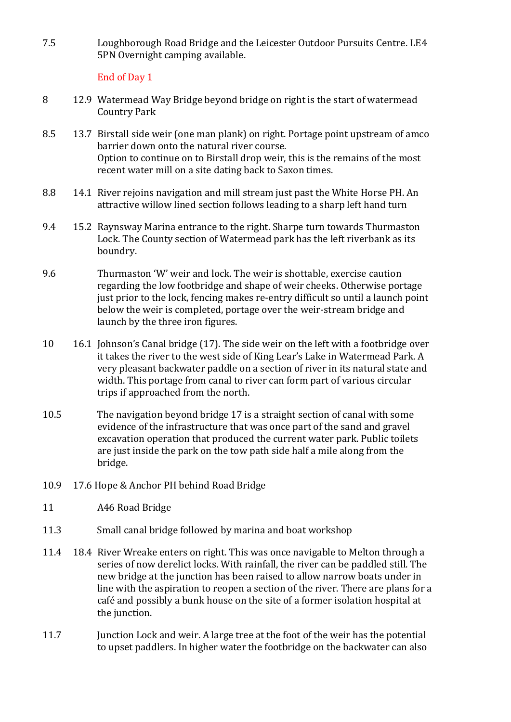7.5 Loughborough Road Bridge and the Leicester Outdoor Pursuits Centre. LE4 5PN Overnight camping available.

End of Day 1

- 8 12.9 Watermead Way Bridge beyond bridge on right is the start of watermead Country Park
- 8.5 13.7 Birstall side weir (one man plank) on right. Portage point upstream of amco barrier down onto the natural river course. Option to continue on to Birstall drop weir, this is the remains of the most recent water mill on a site dating back to Saxon times.
- 8.8 14.1 River rejoins navigation and mill stream just past the White Horse PH. An attractive willow lined section follows leading to a sharp left hand turn
- 9.4 15.2 Raynsway Marina entrance to the right. Sharpe turn towards Thurmaston Lock. The County section of Watermead park has the left riverbank as its boundry.
- 9.6 Thurmaston 'W' weir and lock. The weir is shottable, exercise caution regarding the low footbridge and shape of weir cheeks. Otherwise portage just prior to the lock, fencing makes re-entry difficult so until a launch point below the weir is completed, portage over the weir-stream bridge and launch by the three iron figures.
- 10 16.1 Johnson's Canal bridge (17). The side weir on the left with a footbridge over it takes the river to the west side of King Lear's Lake in Watermead Park. A very pleasant backwater paddle on a section of river in its natural state and width. This portage from canal to river can form part of various circular trips if approached from the north.
- 10.5 The navigation beyond bridge 17 is a straight section of canal with some evidence of the infrastructure that was once part of the sand and gravel excavation operation that produced the current water park. Public toilets are just inside the park on the tow path side half a mile along from the bridge.
- 10.9 17.6 Hope & Anchor PH behind Road Bridge
- 11 A46 Road Bridge
- 11.3 Small canal bridge followed by marina and boat workshop
- 11.4 18.4 River Wreake enters on right. This was once navigable to Melton through a series of now derelict locks. With rainfall, the river can be paddled still. The new bridge at the junction has been raised to allow narrow boats under in line with the aspiration to reopen a section of the river. There are plans for a café and possibly a bunk house on the site of a former isolation hospital at the junction.
- 11.7 Junction Lock and weir. A large tree at the foot of the weir has the potential to upset paddlers. In higher water the footbridge on the backwater can also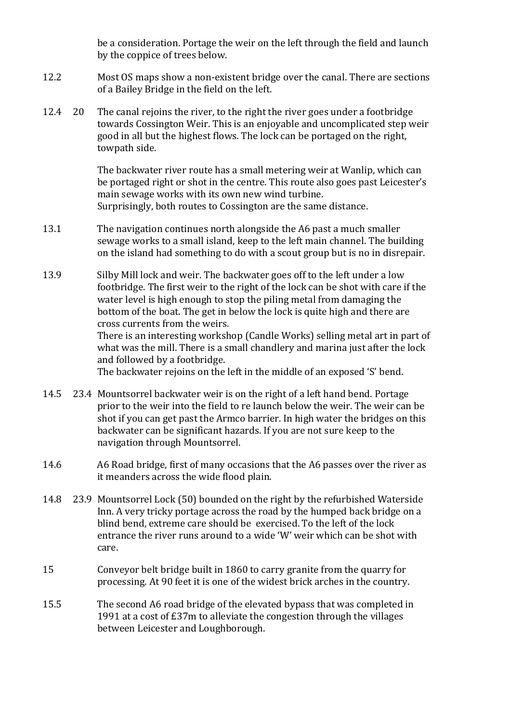be a consideration. Portage the weir on the left through the field and launch by the coppice of trees below.

- 12.2 Most OS maps show a non-existent bridge over the canal. There are sections of a Bailey Bridge in the field on the left.
- 12.4 20 The canal rejoins the river, to the right the river goes under a footbridge towards Cossington Weir. This is an enjoyable and uncomplicated step weir good in all but the highest flows. The lock can be portaged on the right, towpath side.

 The backwater river route has a small metering weir at Wanlip, which can be portaged right or shot in the centre. This route also goes past Leicester's main sewage works with its own new wind turbine. Surprisingly, both routes to Cossington are the same distance.

13.1 The navigation continues north alongside the A6 past a much smaller sewage works to a small island, keep to the left main channel. The building on the island had something to do with a scout group but is no in disrepair.

13.9 Silby Mill lock and weir. The backwater goes off to the left under a low footbridge. The first weir to the right of the lock can be shot with care if the water level is high enough to stop the piling metal from damaging the bottom of the boat. The get in below the lock is quite high and there are cross currents from the weirs. There is an interesting workshop (Candle Works) selling metal art in part of

what was the mill. There is a small chandlery and marina just after the lock and followed by a footbridge.

The backwater rejoins on the left in the middle of an exposed 'S' bend.

- 14.5 23.4 Mountsorrel backwater weir is on the right of a left hand bend. Portage prior to the weir into the field to re launch below the weir. The weir can be shot if you can get past the Armco barrier. In high water the bridges on this backwater can be significant hazards. If you are not sure keep to the navigation through Mountsorrel.
- 14.6 A6 Road bridge, first of many occasions that the A6 passes over the river as it meanders across the wide flood plain.
- 14.8 23.9 Mountsorrel Lock (50) bounded on the right by the refurbished Waterside Inn. A very tricky portage across the road by the humped back bridge on a blind bend, extreme care should be exercised. To the left of the lock entrance the river runs around to a wide 'W' weir which can be shot with care.
- 15 Conveyor belt bridge built in 1860 to carry granite from the quarry for processing. At 90 feet it is one of the widest brick arches in the country.
- 15.5 The second A6 road bridge of the elevated bypass that was completed in 1991 at a cost of £37m to alleviate the congestion through the villages between Leicester and Loughborough.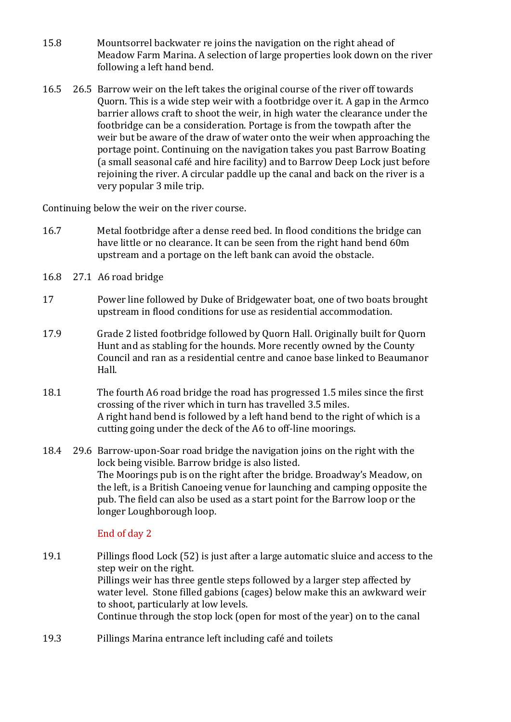- 15.8 Mountsorrel backwater re joins the navigation on the right ahead of Meadow Farm Marina. A selection of large properties look down on the river following a left hand bend.
- 16.5 26.5 Barrow weir on the left takes the original course of the river off towards Quorn. This is a wide step weir with a footbridge over it. A gap in the Armco barrier allows craft to shoot the weir, in high water the clearance under the footbridge can be a consideration. Portage is from the towpath after the weir but be aware of the draw of water onto the weir when approaching the portage point. Continuing on the navigation takes you past Barrow Boating (a small seasonal café and hire facility) and to Barrow Deep Lock just before rejoining the river. A circular paddle up the canal and back on the river is a very popular 3 mile trip.

Continuing below the weir on the river course.

- 16.7 Metal footbridge after a dense reed bed. In flood conditions the bridge can have little or no clearance. It can be seen from the right hand bend 60m upstream and a portage on the left bank can avoid the obstacle.
- 16.8 27.1 A6 road bridge
- 17 Power line followed by Duke of Bridgewater boat, one of two boats brought upstream in flood conditions for use as residential accommodation.
- 17.9 Grade 2 listed footbridge followed by Quorn Hall. Originally built for Quorn Hunt and as stabling for the hounds. More recently owned by the County Council and ran as a residential centre and canoe base linked to Beaumanor Hall.
- 18.1 The fourth A6 road bridge the road has progressed 1.5 miles since the first crossing of the river which in turn has travelled 3.5 miles. A right hand bend is followed by a left hand bend to the right of which is a cutting going under the deck of the A6 to off-line moorings.
- 18.4 29.6 Barrow-upon-Soar road bridge the navigation joins on the right with the lock being visible. Barrow bridge is also listed. The Moorings pub is on the right after the bridge. Broadway's Meadow, on the left, is a British Canoeing venue for launching and camping opposite the pub. The field can also be used as a start point for the Barrow loop or the longer Loughborough loop.

# End of day 2

- 19.1 Pillings flood Lock (52) is just after a large automatic sluice and access to the step weir on the right. Pillings weir has three gentle steps followed by a larger step affected by water level. Stone filled gabions (cages) below make this an awkward weir to shoot, particularly at low levels. Continue through the stop lock (open for most of the year) on to the canal
- 19.3 Pillings Marina entrance left including café and toilets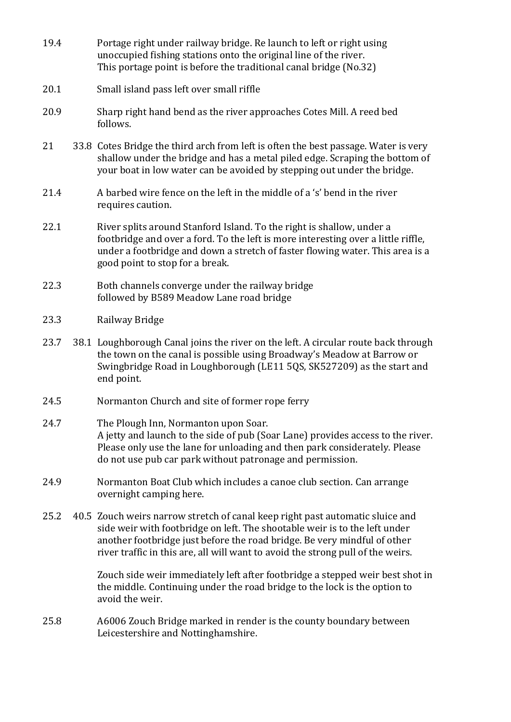- 19.4 Portage right under railway bridge. Re launch to left or right using unoccupied fishing stations onto the original line of the river. This portage point is before the traditional canal bridge (No.32)
- 20.1 Small island pass left over small riffle
- 20.9 Sharp right hand bend as the river approaches Cotes Mill. A reed bed follows.
- 21 33.8 Cotes Bridge the third arch from left is often the best passage. Water is very shallow under the bridge and has a metal piled edge. Scraping the bottom of your boat in low water can be avoided by stepping out under the bridge.
- 21.4 A barbed wire fence on the left in the middle of a 's' bend in the river requires caution.
- 22.1 River splits around Stanford Island. To the right is shallow, under a footbridge and over a ford. To the left is more interesting over a little riffle, under a footbridge and down a stretch of faster flowing water. This area is a good point to stop for a break.
- 22.3 Both channels converge under the railway bridge followed by B589 Meadow Lane road bridge
- 23.3 Railway Bridge
- 23.7 38.1 Loughborough Canal joins the river on the left. A circular route back through the town on the canal is possible using Broadway's Meadow at Barrow or Swingbridge Road in Loughborough (LE11 5QS, SK527209) as the start and end point.
- 24.5 Normanton Church and site of former rope ferry
- 24.7 The Plough Inn, Normanton upon Soar. A jetty and launch to the side of pub (Soar Lane) provides access to the river. Please only use the lane for unloading and then park considerately. Please do not use pub car park without patronage and permission.
- 24.9 Normanton Boat Club which includes a canoe club section. Can arrange overnight camping here.
- 25.2 40.5 Zouch weirs narrow stretch of canal keep right past automatic sluice and side weir with footbridge on left. The shootable weir is to the left under another footbridge just before the road bridge. Be very mindful of other river traffic in this are, all will want to avoid the strong pull of the weirs.

 Zouch side weir immediately left after footbridge a stepped weir best shot in the middle. Continuing under the road bridge to the lock is the option to avoid the weir.

25.8 A6006 Zouch Bridge marked in render is the county boundary between Leicestershire and Nottinghamshire.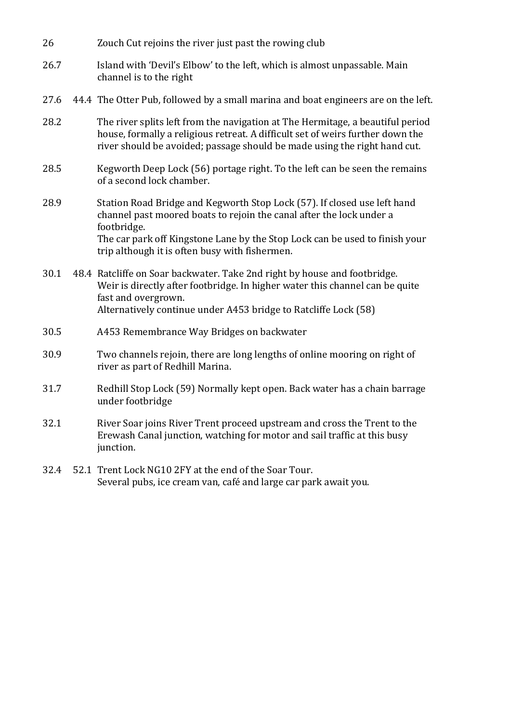- 26 Zouch Cut rejoins the river just past the rowing club
- 26.7 Island with 'Devil's Elbow' to the left, which is almost unpassable. Main channel is to the right
- 27.6 44.4 The Otter Pub, followed by a small marina and boat engineers are on the left.
- 28.2 The river splits left from the navigation at The Hermitage, a beautiful period house, formally a religious retreat. A difficult set of weirs further down the river should be avoided; passage should be made using the right hand cut.
- 28.5 Kegworth Deep Lock (56) portage right. To the left can be seen the remains of a second lock chamber.
- 28.9 Station Road Bridge and Kegworth Stop Lock (57). If closed use left hand channel past moored boats to rejoin the canal after the lock under a footbridge. The car park off Kingstone Lane by the Stop Lock can be used to finish your trip although it is often busy with fishermen.
- 30.1 48.4 Ratcliffe on Soar backwater. Take 2nd right by house and footbridge. Weir is directly after footbridge. In higher water this channel can be quite fast and overgrown. Alternatively continue under A453 bridge to Ratcliffe Lock (58)
- 30.5 A453 Remembrance Way Bridges on backwater
- 30.9 Two channels rejoin, there are long lengths of online mooring on right of river as part of Redhill Marina.
- 31.7 Redhill Stop Lock (59) Normally kept open. Back water has a chain barrage under footbridge
- 32.1 River Soar joins River Trent proceed upstream and cross the Trent to the Erewash Canal junction, watching for motor and sail traffic at this busy junction.
- 32.4 52.1 Trent Lock NG10 2FY at the end of the Soar Tour. Several pubs, ice cream van, café and large car park await you.